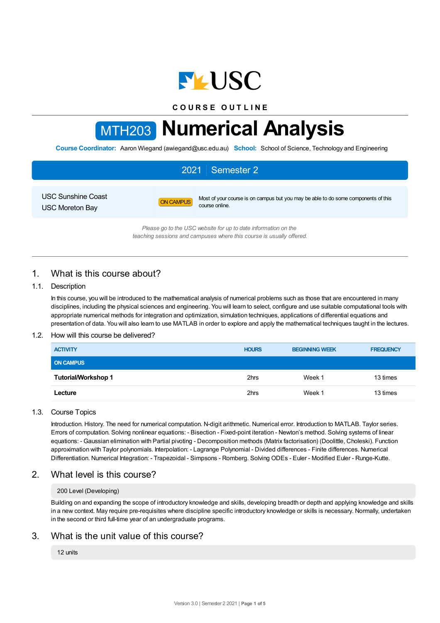

**C O U R S E O U T L I N E**

# MTH203 **Numerical Analysis**

**Course Coordinator:** Aaron Wiegand (awiegand@usc.edu.au) **School:** School of Science, Technology and Engineering

# 2021 Semester 2

USC Sunshine Coast USC Moreton Bay

ON CAMPUS Most of your course is on campus but you may be able to do some components of this course online.

*Please go to the USC website for up to date information on the teaching sessions and campuses where this course is usually offered.*

# 1. What is this course about?

## 1.1. Description

In this course, you will be introduced to the mathematical analysis of numerical problems such as those that are encountered in many disciplines, including the physical sciences and engineering. You will learn to select, configure and use suitable computational tools with appropriate numerical methods for integration and optimization, simulation techniques, applications of differential equations and presentation of data. You will also learn to use MATLAB in order to explore and apply the mathematical techniques taught in the lectures.

## 1.2. How will this course be delivered?

| <b>ACTIVITY</b>            | <b>HOURS</b> | <b>BEGINNING WEEK</b> | <b>FREQUENCY</b> |
|----------------------------|--------------|-----------------------|------------------|
| <b>ON CAMPUS</b>           |              |                       |                  |
| <b>Tutorial/Workshop 1</b> | 2hrs         | Week 1                | 13 times         |
| Lecture                    | 2hrs         | Week 1                | 13 times         |

## 1.3. Course Topics

Introduction. History. The need for numerical computation. N-digit arithmetic. Numerical error. Introduction to MATLAB. Taylor series. Errors of computation. Solving nonlinear equations: - Bisection - Fixed-point iteration - Newton's method. Solving systems of linear equations: - Gaussian elimination with Partial pivoting - Decomposition methods (Matrix factorisation) (Doolittle, Choleski). Function approximation with Taylor polynomials. Interpolation: - Lagrange Polynomial - Divided differences - Finite differences. Numerical Differentiation. Numerical Integration: - Trapezoidal - Simpsons - Romberg. Solving ODEs - Euler - Modified Euler - Runge-Kutte.

## 2. What level is this course?

#### 200 Level (Developing)

Building on and expanding the scope of introductory knowledge and skills, developing breadth or depth and applying knowledge and skills in a new context. May require pre-requisites where discipline specific introductory knowledge or skills is necessary. Normally, undertaken in the second or third full-time year of an undergraduate programs.

## 3. What is the unit value of this course?

12 units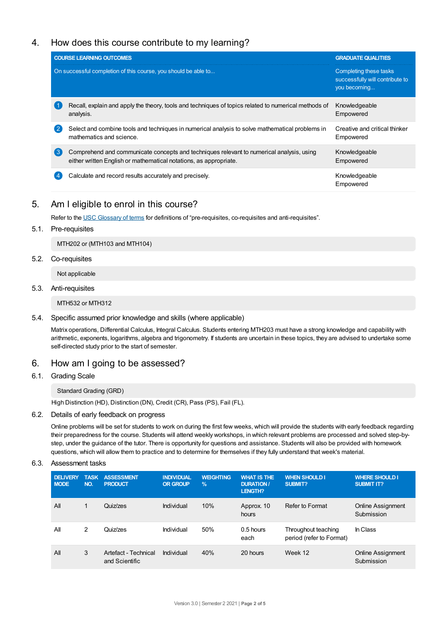# 4. How does this course contribute to my learning?

|   | <b>COURSE LEARNING OUTCOMES</b>                                                                                                                               | <b>GRADUATE QUALITIES</b>                                                 |
|---|---------------------------------------------------------------------------------------------------------------------------------------------------------------|---------------------------------------------------------------------------|
|   | On successful completion of this course, you should be able to                                                                                                | Completing these tasks<br>successfully will contribute to<br>you becoming |
|   | Recall, explain and apply the theory, tools and techniques of topics related to numerical methods of<br>analysis.                                             | Knowledgeable<br>Empowered                                                |
| 2 | Select and combine tools and techniques in numerical analysis to solve mathematical problems in<br>mathematics and science.                                   | Creative and critical thinker<br>Empowered                                |
| 3 | Comprehend and communicate concepts and techniques relevant to numerical analysis, using<br>either written English or mathematical notations, as appropriate. | Knowledgeable<br>Empowered                                                |
|   | Calculate and record results accurately and precisely.                                                                                                        | Knowledgeable<br>Empowered                                                |

## 5. Am Ieligible to enrol in this course?

Refer to the USC [Glossary](https://www.usc.edu.au/about/policies-and-procedures/glossary-of-terms-for-policy-and-procedures) of terms for definitions of "pre-requisites, co-requisites and anti-requisites".

5.1. Pre-requisites

MTH202 or (MTH103 and MTH104)

5.2. Co-requisites

Not applicable

5.3. Anti-requisites

MTH532 or MTH312

5.4. Specific assumed prior knowledge and skills (where applicable)

Matrix operations, Differential Calculus, Integral Calculus. Students entering MTH203 must have a strong knowledge and capability with arithmetic, exponents, logarithms, algebra and trigonometry. If students are uncertain in these topics, they are advised to undertake some self-directed study prior to the start of semester.

## 6. How am Igoing to be assessed?

6.1. Grading Scale

Standard Grading (GRD)

High Distinction (HD), Distinction (DN), Credit (CR), Pass (PS), Fail (FL).

6.2. Details of early feedback on progress

Online problems will be set for students to work on during the first few weeks, which will provide the students with early feedback regarding their preparedness for the course. Students will attend weekly workshops, in which relevant problems are processed and solved step-bystep, under the guidance of the tutor. There is opportunity for questions and assistance. Students will also be provided with homework questions, which will allow them to practice and to determine for themselves if they fully understand that week's material.

6.3. Assessment tasks

| <b>DELIVERY</b><br><b>MODE</b> | <b>TASK</b><br>NO. | <b>ASSESSMENT</b><br><b>PRODUCT</b>    | <b>INDIVIDUAL</b><br><b>OR GROUP</b> | <b>WEIGHTING</b><br>$\frac{9}{6}$ | <b>WHAT IS THE</b><br><b>DURATION /</b><br><b>LENGTH?</b> | <b>WHEN SHOULD I</b><br>SUBMIT?                 | <b>WHERE SHOULD I</b><br><b>SUBMIT IT?</b> |
|--------------------------------|--------------------|----------------------------------------|--------------------------------------|-----------------------------------|-----------------------------------------------------------|-------------------------------------------------|--------------------------------------------|
| All                            | 1                  | Quiz/zes                               | Individual                           | 10%                               | Approx. 10<br>hours                                       | Refer to Format                                 | Online Assignment<br>Submission            |
| All                            | 2                  | Quiz/zes                               | Individual                           | 50%                               | $0.5$ hours<br>each                                       | Throughout teaching<br>period (refer to Format) | In Class                                   |
| All                            | 3                  | Artefact - Technical<br>and Scientific | Individual                           | 40%                               | 20 hours                                                  | Week 12                                         | <b>Online Assignment</b><br>Submission     |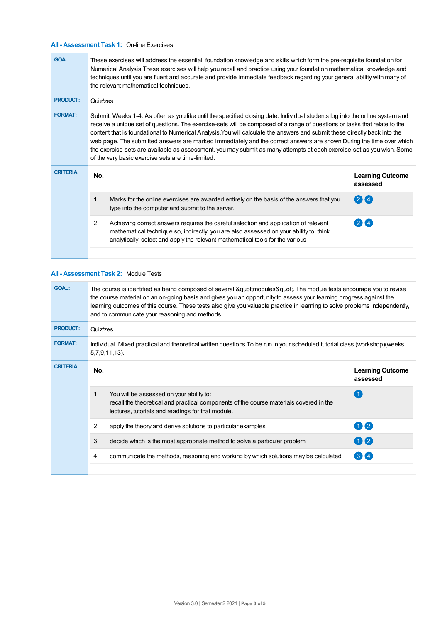## **All - Assessment Task 1:** On-line Exercises

| <b>GOAL:</b>     | These exercises will address the essential, foundation knowledge and skills which form the pre-requisite foundation for<br>Numerical Analysis. These exercises will help you recall and practice using your foundation mathematical knowledge and<br>techniques until you are fluent and accurate and provide immediate feedback regarding your general ability with many of<br>the relevant mathematical techniques.                                                                                                                                                                                                                                                                         |                                                                                                                                                                                                                                                                  |                                     |  |  |
|------------------|-----------------------------------------------------------------------------------------------------------------------------------------------------------------------------------------------------------------------------------------------------------------------------------------------------------------------------------------------------------------------------------------------------------------------------------------------------------------------------------------------------------------------------------------------------------------------------------------------------------------------------------------------------------------------------------------------|------------------------------------------------------------------------------------------------------------------------------------------------------------------------------------------------------------------------------------------------------------------|-------------------------------------|--|--|
| <b>PRODUCT:</b>  | Quiz/zes                                                                                                                                                                                                                                                                                                                                                                                                                                                                                                                                                                                                                                                                                      |                                                                                                                                                                                                                                                                  |                                     |  |  |
| <b>FORMAT:</b>   | Submit: Weeks 1-4. As often as you like until the specified closing date. Individual students log into the online system and<br>receive a unique set of questions. The exercise-sets will be composed of a range of questions or tasks that relate to the<br>content that is foundational to Numerical Analysis. You will calculate the answers and submit these directly back into the<br>web page. The submitted answers are marked immediately and the correct answers are shown. During the time over which<br>the exercise-sets are available as assessment, you may submit as many attempts at each exercise-set as you wish. Some<br>of the very basic exercise sets are time-limited. |                                                                                                                                                                                                                                                                  |                                     |  |  |
| <b>CRITERIA:</b> | No.                                                                                                                                                                                                                                                                                                                                                                                                                                                                                                                                                                                                                                                                                           |                                                                                                                                                                                                                                                                  | <b>Learning Outcome</b><br>assessed |  |  |
|                  | 1                                                                                                                                                                                                                                                                                                                                                                                                                                                                                                                                                                                                                                                                                             | Marks for the online exercises are awarded entirely on the basis of the answers that you<br>type into the computer and submit to the server.                                                                                                                     | $2$ M 4                             |  |  |
|                  | $\overline{2}$                                                                                                                                                                                                                                                                                                                                                                                                                                                                                                                                                                                                                                                                                | Achieving correct answers requires the careful selection and application of relevant<br>mathematical technique so, indirectly, you are also assessed on your ability to: think<br>analytically; select and apply the relevant mathematical tools for the various | (2)14                               |  |  |

## **All - Assessment Task 2:** Module Tests

| <b>GOAL:</b>     | The course is identified as being composed of several "modules". The module tests encourage you to revise<br>the course material on an on-going basis and gives you an opportunity to assess your learning progress against the<br>learning outcomes of this course. These tests also give you valuable practice in learning to solve problems independently,<br>and to communicate your reasoning and methods. |                                                                                                                                                                                         |                                     |  |  |
|------------------|-----------------------------------------------------------------------------------------------------------------------------------------------------------------------------------------------------------------------------------------------------------------------------------------------------------------------------------------------------------------------------------------------------------------|-----------------------------------------------------------------------------------------------------------------------------------------------------------------------------------------|-------------------------------------|--|--|
| <b>PRODUCT:</b>  | Quiz/zes                                                                                                                                                                                                                                                                                                                                                                                                        |                                                                                                                                                                                         |                                     |  |  |
| <b>FORMAT:</b>   | Individual. Mixed practical and theoretical written questions. To be run in your scheduled tutorial class (workshop)(weeks<br>$5,7,9,11,13$ ).                                                                                                                                                                                                                                                                  |                                                                                                                                                                                         |                                     |  |  |
| <b>CRITERIA:</b> | No.                                                                                                                                                                                                                                                                                                                                                                                                             |                                                                                                                                                                                         | <b>Learning Outcome</b><br>assessed |  |  |
|                  | 1                                                                                                                                                                                                                                                                                                                                                                                                               | You will be assessed on your ability to:<br>recall the theoretical and practical components of the course materials covered in the<br>lectures, tutorials and readings for that module. |                                     |  |  |
|                  | 2                                                                                                                                                                                                                                                                                                                                                                                                               | apply the theory and derive solutions to particular examples                                                                                                                            | 11(2)                               |  |  |
|                  | 3                                                                                                                                                                                                                                                                                                                                                                                                               | decide which is the most appropriate method to solve a particular problem                                                                                                               | 00                                  |  |  |
|                  | 4                                                                                                                                                                                                                                                                                                                                                                                                               | communicate the methods, reasoning and working by which solutions may be calculated                                                                                                     | $3\sqrt{4}$                         |  |  |
|                  |                                                                                                                                                                                                                                                                                                                                                                                                                 |                                                                                                                                                                                         |                                     |  |  |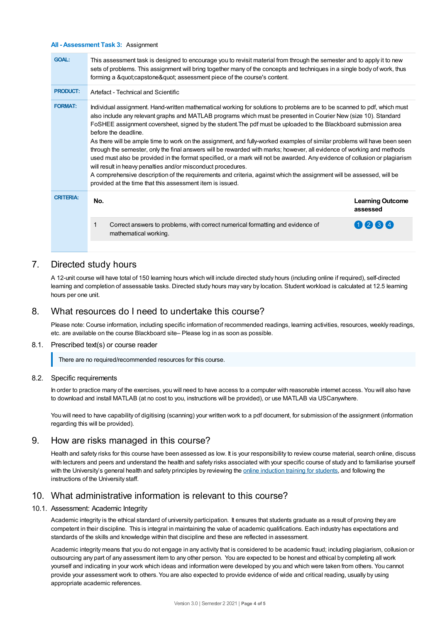#### **All - Assessment Task 3:** Assignment

| This assessment task is designed to encourage you to revisit material from through the semester and to apply it to new<br>sets of problems. This assignment will bring together many of the concepts and techniques in a single body of work, thus<br>forming a "capstone" assessment piece of the course's content.                                                                                                                                                                                                                                                                                                                                                                                                                                                                                                                                                      |  |  |  |  |
|---------------------------------------------------------------------------------------------------------------------------------------------------------------------------------------------------------------------------------------------------------------------------------------------------------------------------------------------------------------------------------------------------------------------------------------------------------------------------------------------------------------------------------------------------------------------------------------------------------------------------------------------------------------------------------------------------------------------------------------------------------------------------------------------------------------------------------------------------------------------------|--|--|--|--|
| Artefact - Technical and Scientific                                                                                                                                                                                                                                                                                                                                                                                                                                                                                                                                                                                                                                                                                                                                                                                                                                       |  |  |  |  |
| Individual assignment. Hand-written mathematical working for solutions to problems are to be scanned to pdf, which must<br>also include any relevant graphs and MATLAB programs which must be presented in Courier New (size 10). Standard<br>FoSHEE assignment coversheet, signed by the student. The pdf must be uploaded to the Blackboard submission area<br>As there will be ample time to work on the assignment, and fully-worked examples of similar problems will have been seen<br>through the semester, only the final answers will be rewarded with marks; however, all evidence of working and methods<br>used must also be provided in the format specified, or a mark will not be awarded. Any evidence of collusion or plagiarism<br>A comprehensive description of the requirements and criteria, against which the assignment will be assessed, will be |  |  |  |  |
| <b>Learning Outcome</b><br>assessed                                                                                                                                                                                                                                                                                                                                                                                                                                                                                                                                                                                                                                                                                                                                                                                                                                       |  |  |  |  |
| 0234                                                                                                                                                                                                                                                                                                                                                                                                                                                                                                                                                                                                                                                                                                                                                                                                                                                                      |  |  |  |  |
|                                                                                                                                                                                                                                                                                                                                                                                                                                                                                                                                                                                                                                                                                                                                                                                                                                                                           |  |  |  |  |

## 7. Directed study hours

A 12-unit course will have total of 150 learning hours which will include directed study hours (including online if required), self-directed learning and completion of assessable tasks. Directed study hours may vary by location. Student workload is calculated at 12.5 learning hours per one unit.

## 8. What resources do I need to undertake this course?

Please note: Course information, including specific information of recommended readings, learning activities, resources, weekly readings, etc. are available on the course Blackboard site– Please log in as soon as possible.

#### 8.1. Prescribed text(s) or course reader

There are no required/recommended resources for this course.

#### 8.2. Specific requirements

In order to practice many of the exercises, you will need to have access to a computer with reasonable internet access. You will also have to download and install MATLAB (at no cost to you, instructions will be provided), or use MATLAB via USCanywhere.

You will need to have capability of digitising (scanning) your written work to a pdf document, for submission of the assignment (information regarding this will be provided).

## 9. How are risks managed in this course?

Health and safety risks for this course have been assessed as low. It is your responsibility to review course material, search online, discuss with lecturers and peers and understand the health and safety risks associated with your specific course of study and to familiarise yourself with the University's general health and safety principles by reviewing the online [induction](https://online.usc.edu.au/webapps/blackboard/content/listContentEditable.jsp?content_id=_632657_1&course_id=_14432_1) training for students, and following the instructions of the University staff.

## 10. What administrative information is relevant to this course?

#### 10.1. Assessment: Academic Integrity

Academic integrity is the ethical standard of university participation. It ensures that students graduate as a result of proving they are competent in their discipline. This is integral in maintaining the value of academic qualifications. Each industry has expectations and standards of the skills and knowledge within that discipline and these are reflected in assessment.

Academic integrity means that you do not engage in any activity that is considered to be academic fraud; including plagiarism, collusion or outsourcing any part of any assessment item to any other person. You are expected to be honest and ethical by completing all work yourself and indicating in your work which ideas and information were developed by you and which were taken from others. You cannot provide your assessment work to others.You are also expected to provide evidence of wide and critical reading, usually by using appropriate academic references.